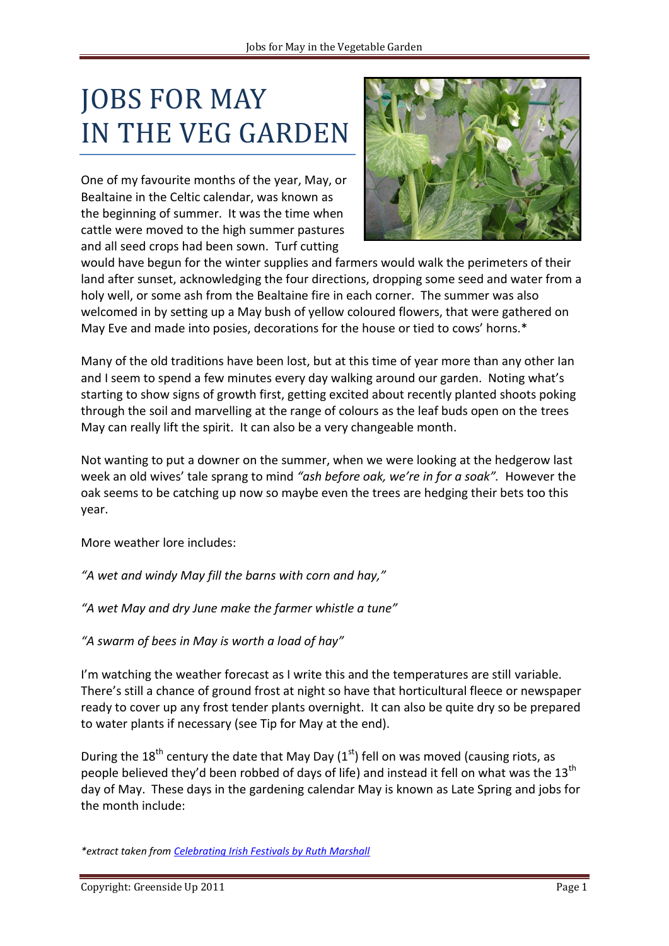## JOBS FOR MAY IN THE VEG GARDEN

One of my favourite months of the year, May, or Bealtaine in the Celtic calendar, was known as the beginning of summer. It was the time when cattle were moved to the high summer pastures and all seed crops had been sown. Turf cutting



would have begun for the winter supplies and farmers would walk the perimeters of their land after sunset, acknowledging the four directions, dropping some seed and water from a holy well, or some ash from the Bealtaine fire in each corner. The summer was also welcomed in by setting up a May bush of yellow coloured flowers, that were gathered on May Eve and made into posies, decorations for the house or tied to cows' horns.\*

Many of the old traditions have been lost, but at this time of year more than any other Ian and I seem to spend a few minutes every day walking around our garden. Noting what's starting to show signs of growth first, getting excited about recently planted shoots poking through the soil and marvelling at the range of colours as the leaf buds open on the trees May can really lift the spirit. It can also be a very changeable month.

Not wanting to put a downer on the summer, when we were looking at the hedgerow last week an old wives' tale sprang to mind *"ash before oak, we're in for a soak".* However the oak seems to be catching up now so maybe even the trees are hedging their bets too this year.

More weather lore includes:

*"A wet and windy May fill the barns with corn and hay,"*

*"A wet May and dry June make the farmer whistle a tune"*

*"A swarm of bees in May is worth a load of hay"*

I'm watching the weather forecast as I write this and the temperatures are still variable. There's still a chance of ground frost at night so have that horticultural fleece or newspaper ready to cover up any frost tender plants overnight. It can also be quite dry so be prepared to water plants if necessary (see Tip for May at the end).

During the 18<sup>th</sup> century the date that May Day (1<sup>st</sup>) fell on was moved (causing riots, as people believed they'd been robbed of days of life) and instead it fell on what was the 13<sup>th</sup> day of May. These days in the gardening calendar May is known as Late Spring and jobs for the month include:

*\*extract taken from [Celebrating Irish Festivals by Ruth Marshall](http://www.amazon.com/Celebrating-Irish-Festivals-Calendar-Celebrations/dp/1903458234/ref=sr_1_1?ie=UTF8&s=books&qid=1304231995&sr=8-1)*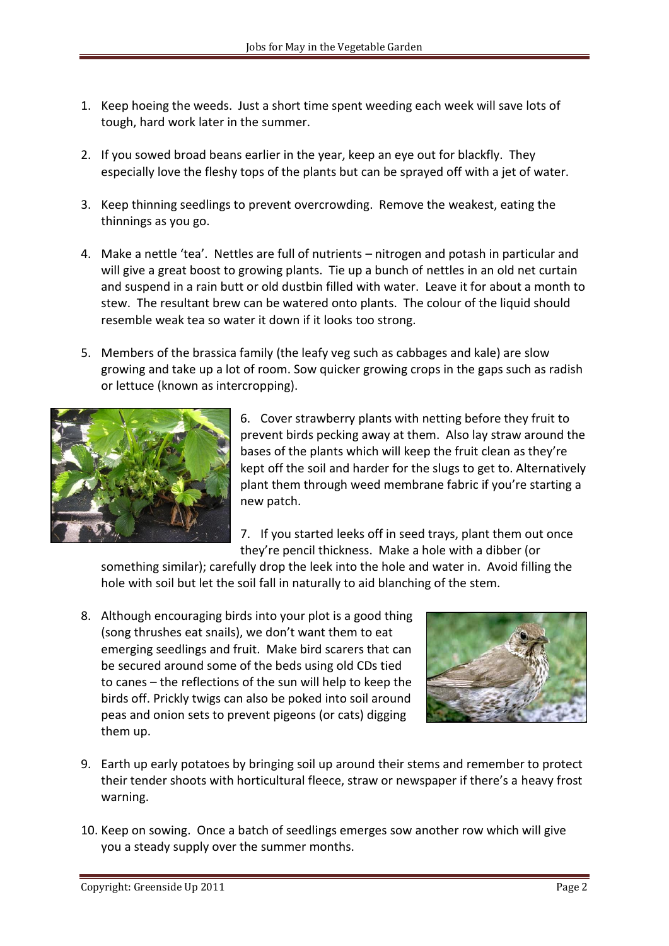- 1. Keep hoeing the weeds. Just a short time spent weeding each week will save lots of tough, hard work later in the summer.
- 2. If you sowed broad beans earlier in the year, keep an eye out for blackfly. They especially love the fleshy tops of the plants but can be sprayed off with a jet of water.
- 3. Keep thinning seedlings to prevent overcrowding. Remove the weakest, eating the thinnings as you go.
- 4. Make a nettle 'tea'. Nettles are full of nutrients nitrogen and potash in particular and will give a great boost to growing plants. Tie up a bunch of nettles in an old net curtain and suspend in a rain butt or old dustbin filled with water. Leave it for about a month to stew. The resultant brew can be watered onto plants. The colour of the liquid should resemble weak tea so water it down if it looks too strong.
- 5. Members of the brassica family (the leafy veg such as cabbages and kale) are slow growing and take up a lot of room. Sow quicker growing crops in the gaps such as radish or lettuce (known as intercropping).



6. Cover strawberry plants with netting before they fruit to prevent birds pecking away at them. Also lay straw around the bases of the plants which will keep the fruit clean as they're kept off the soil and harder for the slugs to get to. Alternatively plant them through weed membrane fabric if you're starting a new patch.

7. If you started leeks off in seed trays, plant them out once they're pencil thickness. Make a hole with a dibber (or

something similar); carefully drop the leek into the hole and water in. Avoid filling the hole with soil but let the soil fall in naturally to aid blanching of the stem.

8. Although encouraging birds into your plot is a good thing (song thrushes eat snails), we don't want them to eat emerging seedlings and fruit. Make bird scarers that can be secured around some of the beds using old CDs tied to canes – the reflections of the sun will help to keep the birds off. Prickly twigs can also be poked into soil around peas and onion sets to prevent pigeons (or cats) digging them up.



- 9. Earth up early potatoes by bringing soil up around their stems and remember to protect their tender shoots with horticultural fleece, straw or newspaper if there's a heavy frost warning.
- 10. Keep on sowing. Once a batch of seedlings emerges sow another row which will give you a steady supply over the summer months.